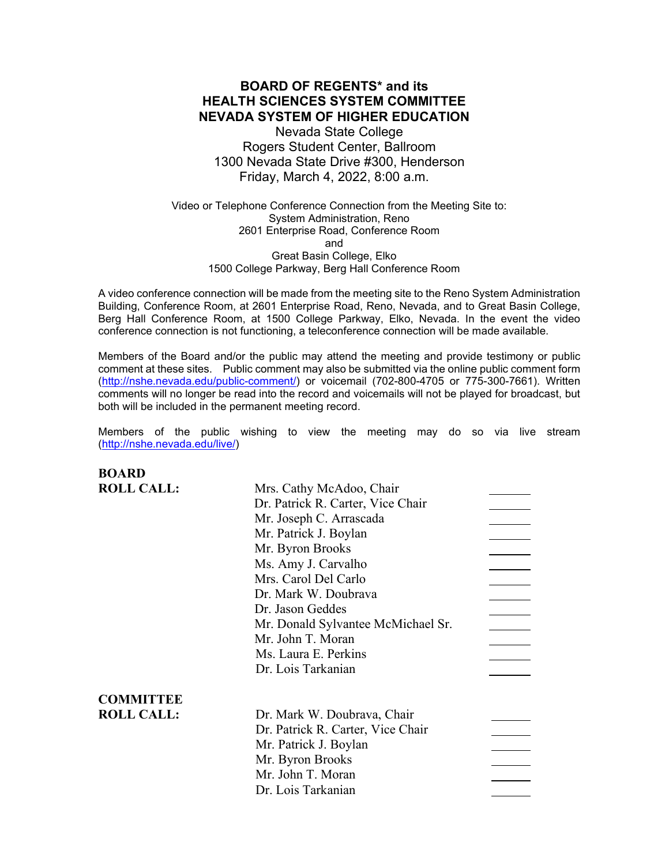# **BOARD OF REGENTS\* and its HEALTH SCIENCES SYSTEM COMMITTEE NEVADA SYSTEM OF HIGHER EDUCATION**

Nevada State College Rogers Student Center, Ballroom 1300 Nevada State Drive #300, Henderson Friday, March 4, 2022, 8:00 a.m.

Video or Telephone Conference Connection from the Meeting Site to: System Administration, Reno 2601 Enterprise Road, Conference Room and Great Basin College, Elko 1500 College Parkway, Berg Hall Conference Room

A video conference connection will be made from the meeting site to the Reno System Administration Building, Conference Room, at 2601 Enterprise Road, Reno, Nevada, and to Great Basin College, Berg Hall Conference Room, at 1500 College Parkway, Elko, Nevada. In the event the video conference connection is not functioning, a teleconference connection will be made available.

Members of the Board and/or the public may attend the meeting and provide testimony or public comment at these sites. Public comment may also be submitted via the online public comment form [\(http://nshe.nevada.edu/public-comment/\)](http://nshe.nevada.edu/public-comment/) or voicemail (702-800-4705 or 775-300-7661). Written comments will no longer be read into the record and voicemails will not be played for broadcast, but both will be included in the permanent meeting record.

Members of the public wishing to view the meeting may do so via live stream [\(http://nshe.nevada.edu/live/\)](http://nshe.nevada.edu/live/)

**BOARD ROLL CALL:** Mrs. Cathy McAdoo, Chair Dr. Patrick R. Carter, Vice Chair Mr. Joseph C. Arrascada Mr. Patrick J. Boylan Mr. Byron Brooks Ms. Amy J. Carvalho Mrs. Carol Del Carlo Dr. Mark W. Doubrava Dr. Jason Geddes Mr. Donald Sylvantee McMichael Sr. Mr. John T. Moran Ms. Laura E. Perkins Dr. Lois Tarkanian **COMMITTEE ROLL CALL:** Dr. Mark W. Doubrava, Chair Dr. Patrick R. Carter, Vice Chair Mr. Patrick J. Boylan Mr. Byron Brooks Mr. John T. Moran Dr. Lois Tarkanian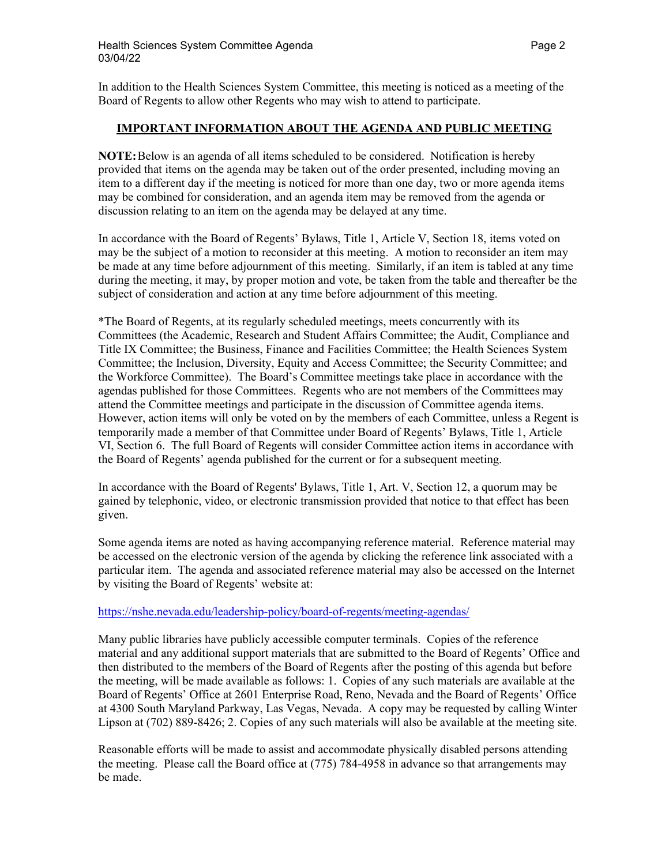In addition to the Health Sciences System Committee, this meeting is noticed as a meeting of the Board of Regents to allow other Regents who may wish to attend to participate.

### **IMPORTANT INFORMATION ABOUT THE AGENDA AND PUBLIC MEETING**

**NOTE:**Below is an agenda of all items scheduled to be considered. Notification is hereby provided that items on the agenda may be taken out of the order presented, including moving an item to a different day if the meeting is noticed for more than one day, two or more agenda items may be combined for consideration, and an agenda item may be removed from the agenda or discussion relating to an item on the agenda may be delayed at any time.

In accordance with the Board of Regents' Bylaws, Title 1, Article V, Section 18, items voted on may be the subject of a motion to reconsider at this meeting. A motion to reconsider an item may be made at any time before adjournment of this meeting. Similarly, if an item is tabled at any time during the meeting, it may, by proper motion and vote, be taken from the table and thereafter be the subject of consideration and action at any time before adjournment of this meeting.

\*The Board of Regents, at its regularly scheduled meetings, meets concurrently with its Committees (the Academic, Research and Student Affairs Committee; the Audit, Compliance and Title IX Committee; the Business, Finance and Facilities Committee; the Health Sciences System Committee; the Inclusion, Diversity, Equity and Access Committee; the Security Committee; and the Workforce Committee). The Board's Committee meetings take place in accordance with the agendas published for those Committees. Regents who are not members of the Committees may attend the Committee meetings and participate in the discussion of Committee agenda items. However, action items will only be voted on by the members of each Committee, unless a Regent is temporarily made a member of that Committee under Board of Regents' Bylaws, Title 1, Article VI, Section 6. The full Board of Regents will consider Committee action items in accordance with the Board of Regents' agenda published for the current or for a subsequent meeting.

In accordance with the Board of Regents' Bylaws, Title 1, Art. V, Section 12, a quorum may be gained by telephonic, video, or electronic transmission provided that notice to that effect has been given.

Some agenda items are noted as having accompanying reference material. Reference material may be accessed on the electronic version of the agenda by clicking the reference link associated with a particular item. The agenda and associated reference material may also be accessed on the Internet by visiting the Board of Regents' website at:

### <https://nshe.nevada.edu/leadership-policy/board-of-regents/meeting-agendas/>

Many public libraries have publicly accessible computer terminals. Copies of the reference material and any additional support materials that are submitted to the Board of Regents' Office and then distributed to the members of the Board of Regents after the posting of this agenda but before the meeting, will be made available as follows: 1. Copies of any such materials are available at the Board of Regents' Office at 2601 Enterprise Road, Reno, Nevada and the Board of Regents' Office at 4300 South Maryland Parkway, Las Vegas, Nevada. A copy may be requested by calling Winter Lipson at (702) 889-8426; 2. Copies of any such materials will also be available at the meeting site.

Reasonable efforts will be made to assist and accommodate physically disabled persons attending the meeting. Please call the Board office at (775) 784-4958 in advance so that arrangements may be made.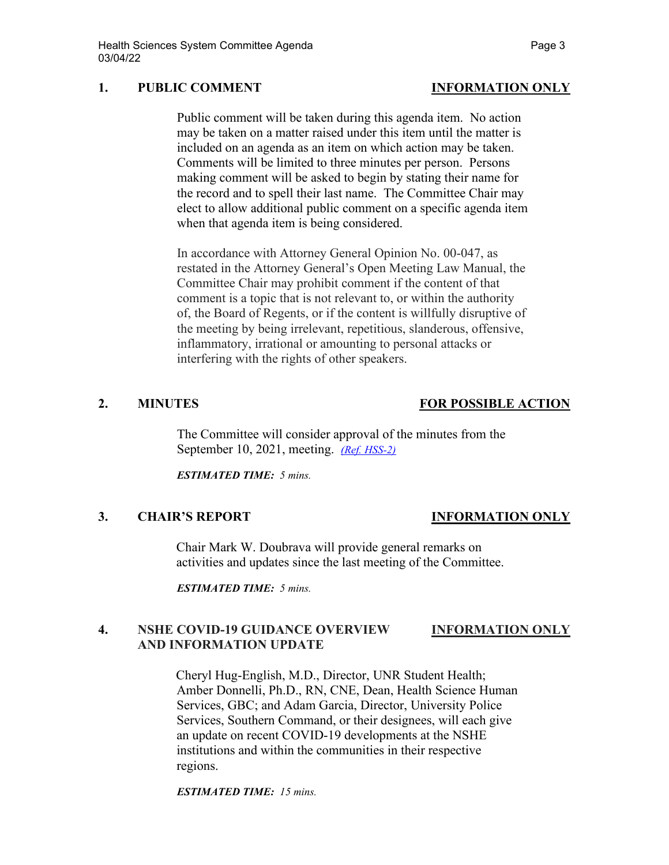# **1. PUBLIC COMMENT INFORMATION ONLY**

Public comment will be taken during this agenda item. No action may be taken on a matter raised under this item until the matter is included on an agenda as an item on which action may be taken. Comments will be limited to three minutes per person. Persons making comment will be asked to begin by stating their name for the record and to spell their last name. The Committee Chair may elect to allow additional public comment on a specific agenda item when that agenda item is being considered.

In accordance with Attorney General Opinion No. 00-047, as restated in the Attorney General's Open Meeting Law Manual, the Committee Chair may prohibit comment if the content of that comment is a topic that is not relevant to, or within the authority of, the Board of Regents, or if the content is willfully disruptive of the meeting by being irrelevant, repetitious, slanderous, offensive, inflammatory, irrational or amounting to personal attacks or interfering with the rights of other speakers.

# **2. MINUTES FOR POSSIBLE ACTION**

The Committee will consider approval of the minutes from the September 10, 2021, meeting. *[\(Ref. HSS-2\)](https://nshe.nevada.edu/wp-content/uploads/file/BoardOfRegents/Agendas/2022/03-mar-mtgs/hss-refs/HSS-2.pdf)*

*ESTIMATED TIME: 5 mins.*

## **3. CHAIR'S REPORT INFORMATION ONLY**

Chair Mark W. Doubrava will provide general remarks on activities and updates since the last meeting of the Committee.

*ESTIMATED TIME: 5 mins.*

# **4. NSHE COVID-19 GUIDANCE OVERVIEW INFORMATION ONLY AND INFORMATION UPDATE**

Cheryl Hug-English, M.D., Director, UNR Student Health; Amber Donnelli, Ph.D., RN, CNE, Dean, Health Science Human Services, GBC; and Adam Garcia, Director, University Police Services, Southern Command, or their designees, will each give an update on recent COVID-19 developments at the NSHE institutions and within the communities in their respective regions.

*ESTIMATED TIME: 15 mins.*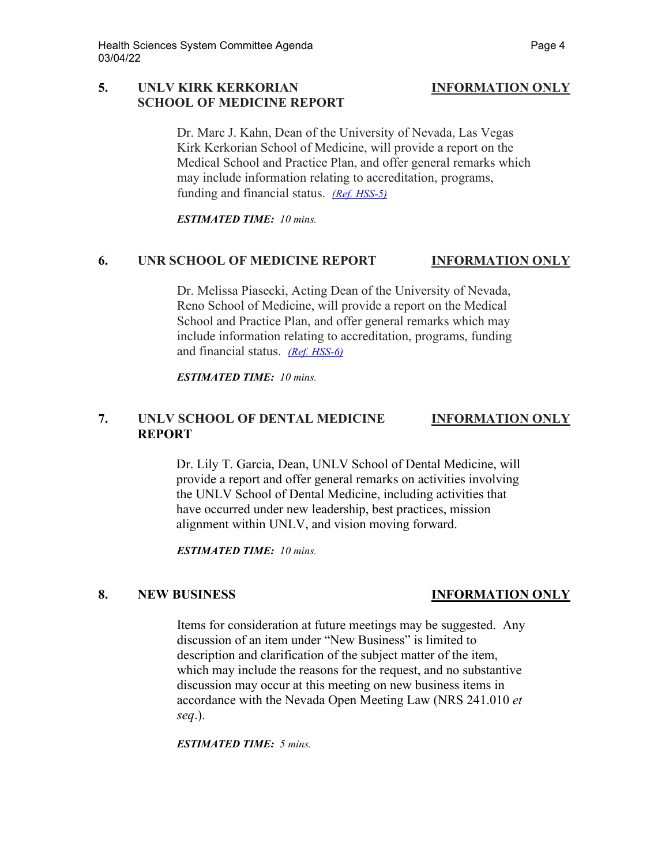## **5. UNLV KIRK KERKORIAN INFORMATION ONLY SCHOOL OF MEDICINE REPORT**

Dr. Marc J. Kahn, Dean of the University of Nevada, Las Vegas Kirk Kerkorian School of Medicine, will provide a report on the Medical School and Practice Plan, and offer general remarks which may include information relating to accreditation, programs, funding and financial status. *[\(Ref. HSS-5\)](https://nshe.nevada.edu/wp-content/uploads/file/BoardOfRegents/Agendas/2022/03-mar-mtgs/hss-refs/HSS-5.pdf)*

*ESTIMATED TIME: 10 mins.*

## **6. UNR SCHOOL OF MEDICINE REPORT INFORMATION ONLY**

Dr. Melissa Piasecki, Acting Dean of the University of Nevada, Reno School of Medicine, will provide a report on the Medical School and Practice Plan, and offer general remarks which may include information relating to accreditation, programs, funding and financial status. *[\(Ref. HSS-6\)](https://nshe.nevada.edu/wp-content/uploads/file/BoardOfRegents/Agendas/2022/03-mar-mtgs/hss-refs/HSS-6.pdf)*

*ESTIMATED TIME: 10 mins.*

# **7. UNLV SCHOOL OF DENTAL MEDICINE INFORMATION ONLY REPORT**

Dr. Lily T. Garcia, Dean, UNLV School of Dental Medicine, will provide a report and offer general remarks on activities involving the UNLV School of Dental Medicine, including activities that have occurred under new leadership, best practices, mission alignment within UNLV, and vision moving forward.

*ESTIMATED TIME: 10 mins.*

## **8. NEW BUSINESS INFORMATION ONLY**

Items for consideration at future meetings may be suggested. Any discussion of an item under "New Business" is limited to description and clarification of the subject matter of the item, which may include the reasons for the request, and no substantive discussion may occur at this meeting on new business items in accordance with the Nevada Open Meeting Law (NRS 241.010 *et seq*.).

*ESTIMATED TIME: 5 mins.*